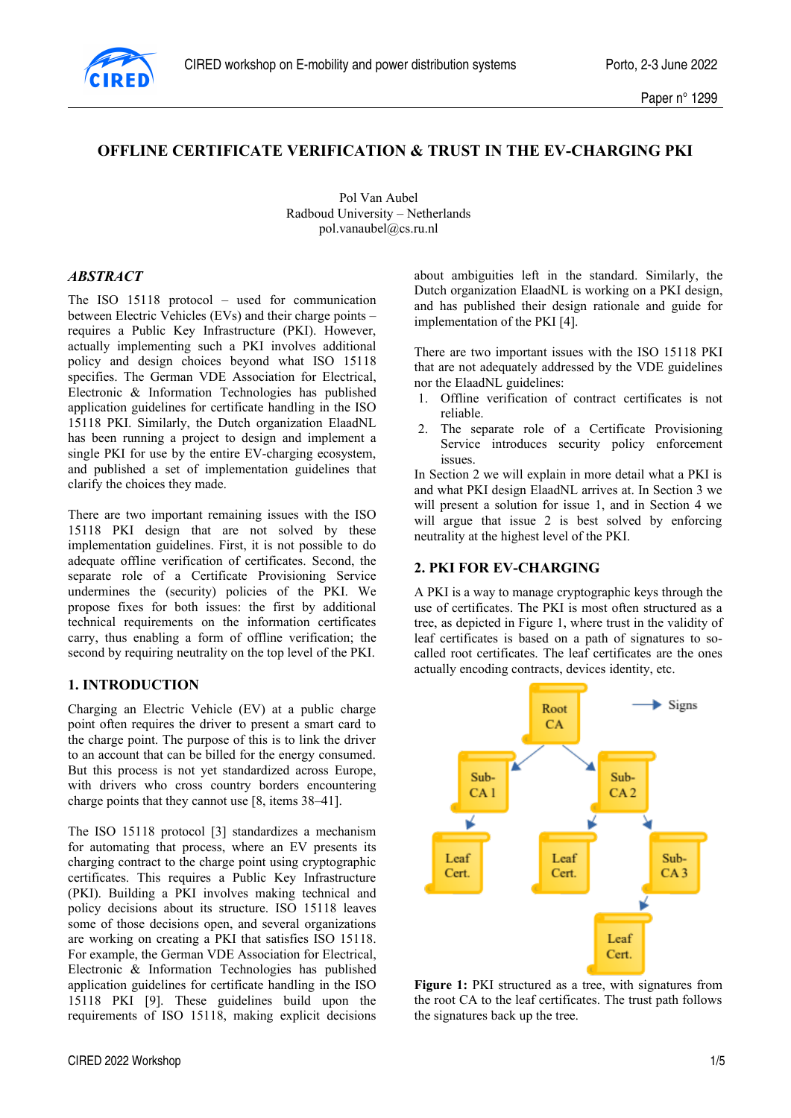

# **OFFLINE CERTIFICATE VERIFICATION & TRUST IN THE EV-CHARGING PKI**

Pol Van Aubel Radboud University – Netherlands pol.vanaubel@cs.ru.nl

#### *ABSTRACT*

The ISO 15118 protocol – used for communication between Electric Vehicles (EVs) and their charge points – requires a Public Key Infrastructure (PKI). However, actually implementing such a PKI involves additional policy and design choices beyond what ISO 15118 specifies. The German VDE Association for Electrical, Electronic & Information Technologies has published application guidelines for certificate handling in the ISO 15118 PKI. Similarly, the Dutch organization ElaadNL has been running a project to design and implement a single PKI for use by the entire EV-charging ecosystem, and published a set of implementation guidelines that clarify the choices they made.

There are two important remaining issues with the ISO 15118 PKI design that are not solved by these implementation guidelines. First, it is not possible to do adequate offline verification of certificates. Second, the separate role of a Certificate Provisioning Service undermines the (security) policies of the PKI. We propose fixes for both issues: the first by additional technical requirements on the information certificates carry, thus enabling a form of offline verification; the second by requiring neutrality on the top level of the PKI.

#### **1. INTRODUCTION**

Charging an Electric Vehicle (EV) at a public charge point often requires the driver to present a smart card to the charge point. The purpose of this is to link the driver to an account that can be billed for the energy consumed. But this process is not yet standardized across Europe, with drivers who cross country borders encountering charge points that they cannot use [8, items 38–41].

The ISO 15118 protocol [3] standardizes a mechanism for automating that process, where an EV presents its charging contract to the charge point using cryptographic certificates. This requires a Public Key Infrastructure (PKI). Building a PKI involves making technical and policy decisions about its structure. ISO 15118 leaves some of those decisions open, and several organizations are working on creating a PKI that satisfies ISO 15118. For example, the German VDE Association for Electrical, Electronic & Information Technologies has published application guidelines for certificate handling in the ISO 15118 PKI [9]. These guidelines build upon the requirements of ISO 15118, making explicit decisions

about ambiguities left in the standard. Similarly, the Dutch organization ElaadNL is working on a PKI design, and has published their design rationale and guide for implementation of the PKI [4].

There are two important issues with the ISO 15118 PKI that are not adequately addressed by the VDE guidelines nor the ElaadNL guidelines:

- 1. Offline verification of contract certificates is not reliable.
- 2. The separate role of a Certificate Provisioning Service introduces security policy enforcement issues.

In Section 2 we will explain in more detail what a PKI is and what PKI design ElaadNL arrives at. In Section 3 we will present a solution for issue 1, and in Section 4 we will argue that issue 2 is best solved by enforcing neutrality at the highest level of the PKI.

#### **2. PKI FOR EV-CHARGING**

A PKI is a way to manage cryptographic keys through the use of certificates. The PKI is most often structured as a tree, as depicted in Figure 1, where trust in the validity of leaf certificates is based on a path of signatures to socalled root certificates. The leaf certificates are the ones actually encoding contracts, devices identity, etc.



**Figure 1:** PKI structured as a tree, with signatures from the root CA to the leaf certificates. The trust path follows the signatures back up the tree.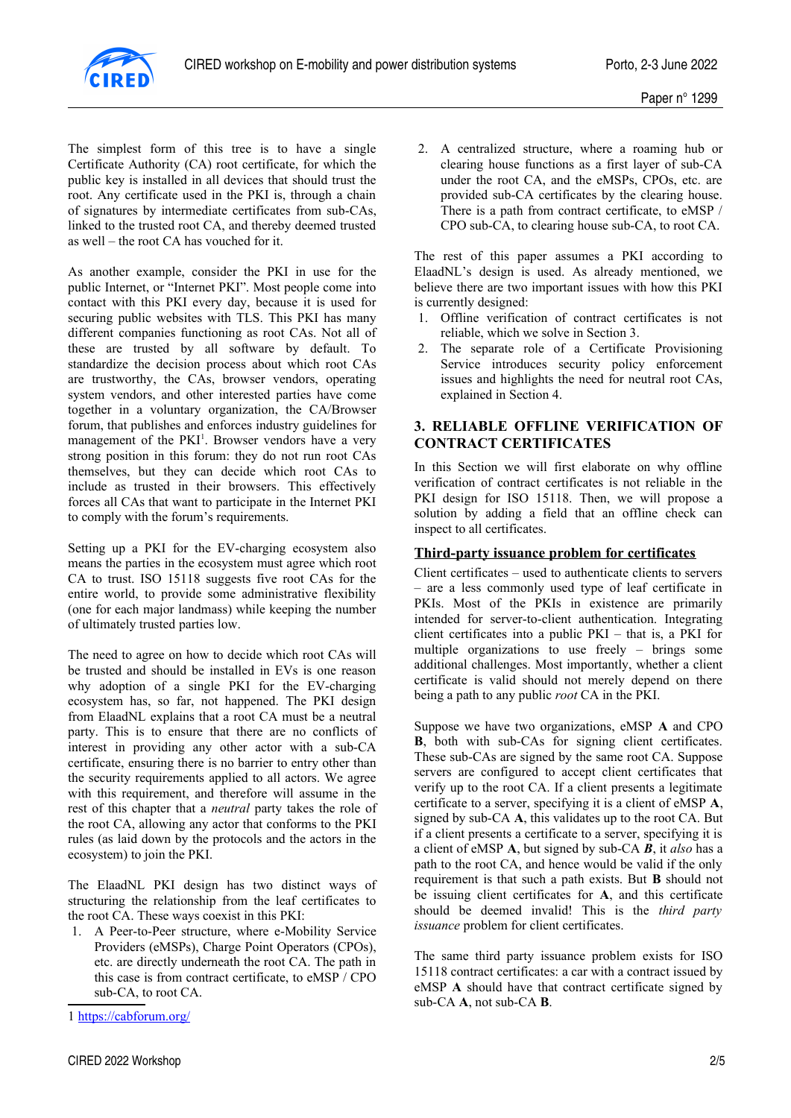

The simplest form of this tree is to have a single Certificate Authority (CA) root certificate, for which the public key is installed in all devices that should trust the root. Any certificate used in the PKI is, through a chain of signatures by intermediate certificates from sub-CAs, linked to the trusted root CA, and thereby deemed trusted as well – the root CA has vouched for it.

As another example, consider the PKI in use for the public Internet, or "Internet PKI". Most people come into contact with this PKI every day, because it is used for securing public websites with TLS. This PKI has many different companies functioning as root CAs. Not all of these are trusted by all software by default. To standardize the decision process about which root CAs are trustworthy, the CAs, browser vendors, operating system vendors, and other interested parties have come together in a voluntary organization, the CA/Browser forum, that publishes and enforces industry guidelines for management of the  $PKI<sup>1</sup>$  $PKI<sup>1</sup>$  $PKI<sup>1</sup>$ . Browser vendors have a very strong position in this forum: they do not run root CAs themselves, but they can decide which root CAs to include as trusted in their browsers. This effectively forces all CAs that want to participate in the Internet PKI to comply with the forum's requirements.

<span id="page-1-0"></span>Setting up a PKI for the EV-charging ecosystem also means the parties in the ecosystem must agree which root CA to trust. ISO 15118 suggests five root CAs for the entire world, to provide some administrative flexibility (one for each major landmass) while keeping the number of ultimately trusted parties low.

The need to agree on how to decide which root CAs will be trusted and should be installed in EVs is one reason why adoption of a single PKI for the EV-charging ecosystem has, so far, not happened. The PKI design from ElaadNL explains that a root CA must be a neutral party. This is to ensure that there are no conflicts of interest in providing any other actor with a sub-CA certificate, ensuring there is no barrier to entry other than the security requirements applied to all actors. We agree with this requirement, and therefore will assume in the rest of this chapter that a *neutral* party takes the role of the root CA, allowing any actor that conforms to the PKI rules (as laid down by the protocols and the actors in the ecosystem) to join the PKI.

The ElaadNL PKI design has two distinct ways of structuring the relationship from the leaf certificates to the root CA. These ways coexist in this PKI:

1. A Peer-to-Peer structure, where e-Mobility Service Providers (eMSPs), Charge Point Operators (CPOs), etc. are directly underneath the root CA. The path in this case is from contract certificate, to eMSP / CPO sub-CA, to root CA.

<span id="page-1-1"></span>[1](#page-1-0) <https://cabforum.org/>

2. A centralized structure, where a roaming hub or clearing house functions as a first layer of sub-CA under the root CA, and the eMSPs, CPOs, etc. are provided sub-CA certificates by the clearing house. There is a path from contract certificate, to eMSP / CPO sub-CA, to clearing house sub-CA, to root CA.

The rest of this paper assumes a PKI according to ElaadNL's design is used. As already mentioned, we believe there are two important issues with how this PKI is currently designed:

- 1. Offline verification of contract certificates is not reliable, which we solve in Section 3.
- 2. The separate role of a Certificate Provisioning Service introduces security policy enforcement issues and highlights the need for neutral root CAs, explained in Section 4.

# **3. RELIABLE OFFLINE VERIFICATION OF CONTRACT CERTIFICATES**

In this Section we will first elaborate on why offline verification of contract certificates is not reliable in the PKI design for ISO 15118. Then, we will propose a solution by adding a field that an offline check can inspect to all certificates.

# **Third-party issuance problem for certificates**

Client certificates – used to authenticate clients to servers – are a less commonly used type of leaf certificate in PKIs. Most of the PKIs in existence are primarily intended for server-to-client authentication. Integrating client certificates into a public PKI – that is, a PKI for multiple organizations to use freely – brings some additional challenges. Most importantly, whether a client certificate is valid should not merely depend on there being a path to any public *root* CA in the PKI.

Suppose we have two organizations, eMSP **A** and CPO **B**, both with sub-CAs for signing client certificates. These sub-CAs are signed by the same root CA. Suppose servers are configured to accept client certificates that verify up to the root CA. If a client presents a legitimate certificate to a server, specifying it is a client of eMSP **A**, signed by sub-CA **A**, this validates up to the root CA. But if a client presents a certificate to a server, specifying it is a client of eMSP **A**, but signed by sub-CA *B*, it *also* has a path to the root CA, and hence would be valid if the only requirement is that such a path exists. But **B** should not be issuing client certificates for **A**, and this certificate should be deemed invalid! This is the *third party issuance* problem for client certificates.

The same third party issuance problem exists for ISO 15118 contract certificates: a car with a contract issued by eMSP **A** should have that contract certificate signed by sub-CA **A**, not sub-CA **B**.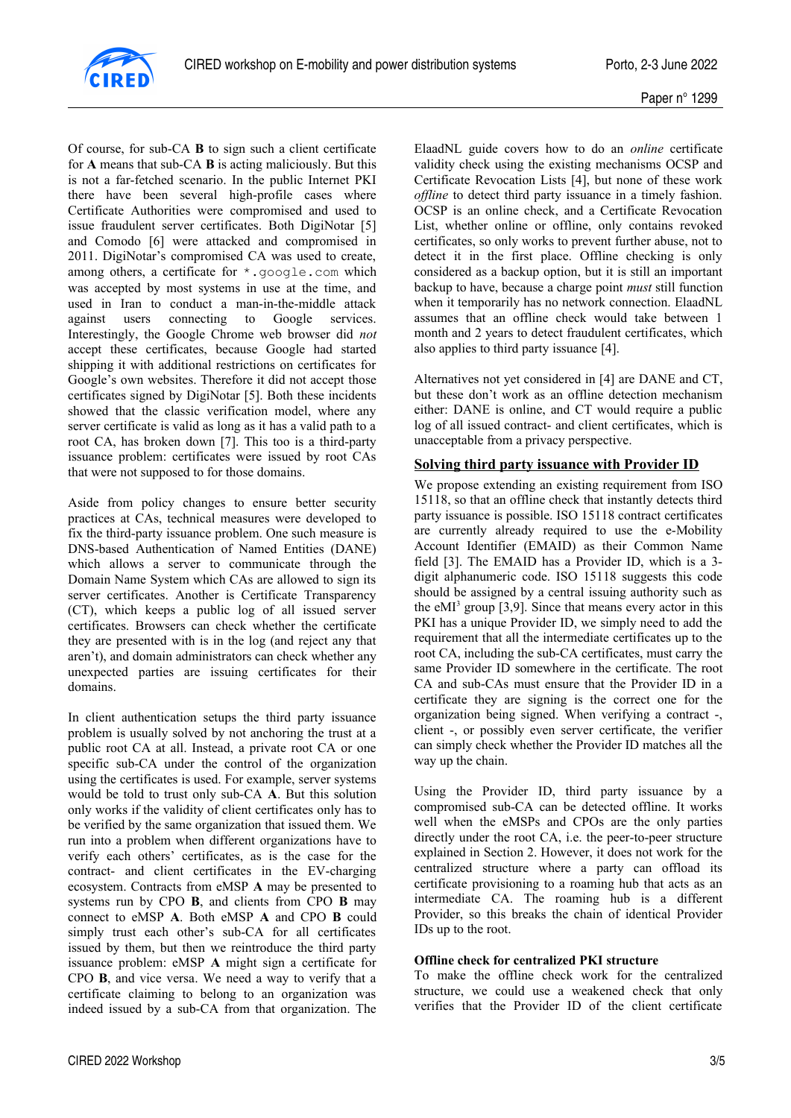

Of course, for sub-CA **B** to sign such a client certificate for **A** means that sub-CA **B** is acting maliciously. But this is not a far-fetched scenario. In the public Internet PKI there have been several high-profile cases where Certificate Authorities were compromised and used to issue fraudulent server certificates. Both DigiNotar [5] and Comodo [6] were attacked and compromised in 2011. DigiNotar's compromised CA was used to create, among others, a certificate for  $\star$ ,  $\alpha$ oogle.com which was accepted by most systems in use at the time, and used in Iran to conduct a man-in-the-middle attack against users connecting to Google services. Interestingly, the Google Chrome web browser did *not* accept these certificates, because Google had started shipping it with additional restrictions on certificates for Google's own websites. Therefore it did not accept those certificates signed by DigiNotar [5]. Both these incidents showed that the classic verification model, where any server certificate is valid as long as it has a valid path to a root CA, has broken down [7]. This too is a third-party issuance problem: certificates were issued by root CAs that were not supposed to for those domains.

Aside from policy changes to ensure better security practices at CAs, technical measures were developed to fix the third-party issuance problem. One such measure is DNS-based Authentication of Named Entities (DANE) which allows a server to communicate through the Domain Name System which CAs are allowed to sign its server certificates. Another is Certificate Transparency (CT), which keeps a public log of all issued server certificates. Browsers can check whether the certificate they are presented with is in the log (and reject any that aren't), and domain administrators can check whether any unexpected parties are issuing certificates for their domains.

In client authentication setups the third party issuance problem is usually solved by not anchoring the trust at a public root CA at all. Instead, a private root CA or one specific sub-CA under the control of the organization using the certificates is used. For example, server systems would be told to trust only sub-CA **A**. But this solution only works if the validity of client certificates only has to be verified by the same organization that issued them. We run into a problem when different organizations have to verify each others' certificates, as is the case for the contract- and client certificates in the EV-charging ecosystem. Contracts from eMSP **A** may be presented to systems run by CPO **B**, and clients from CPO **B** may connect to eMSP **A**. Both eMSP **A** and CPO **B** could simply trust each other's sub-CA for all certificates issued by them, but then we reintroduce the third party issuance problem: eMSP **A** might sign a certificate for CPO **B**, and vice versa. We need a way to verify that a certificate claiming to belong to an organization was indeed issued by a sub-CA from that organization. The ElaadNL guide covers how to do an *online* certificate validity check using the existing mechanisms OCSP and Certificate Revocation Lists [4], but none of these work *offline* to detect third party issuance in a timely fashion. OCSP is an online check, and a Certificate Revocation List, whether online or offline, only contains revoked certificates, so only works to prevent further abuse, not to detect it in the first place. Offline checking is only considered as a backup option, but it is still an important backup to have, because a charge point *must* still function when it temporarily has no network connection. ElaadNL assumes that an offline check would take between 1 month and 2 years to detect fraudulent certificates, which also applies to third party issuance [4].

Alternatives not yet considered in [4] are DANE and CT, but these don't work as an offline detection mechanism either: DANE is online, and CT would require a public log of all issued contract- and client certificates, which is unacceptable from a privacy perspective.

## **Solving third party issuance with Provider ID**

We propose extending an existing requirement from ISO 15118, so that an offline check that instantly detects third party issuance is possible. ISO 15118 contract certificates are currently already required to use the e-Mobility Account Identifier (EMAID) as their Common Name field [3]. The EMAID has a Provider ID, which is a 3 digit alphanumeric code. ISO 15118 suggests this code should be assigned by a central issuing authority such as the eMI<sup>3</sup> group [3,9]. Since that means every actor in this PKI has a unique Provider ID, we simply need to add the requirement that all the intermediate certificates up to the root CA, including the sub-CA certificates, must carry the same Provider ID somewhere in the certificate. The root CA and sub-CAs must ensure that the Provider ID in a certificate they are signing is the correct one for the organization being signed. When verifying a contract -, client -, or possibly even server certificate, the verifier can simply check whether the Provider ID matches all the way up the chain.

Using the Provider ID, third party issuance by a compromised sub-CA can be detected offline. It works well when the eMSPs and CPOs are the only parties directly under the root CA, i.e. the peer-to-peer structure explained in Section 2. However, it does not work for the centralized structure where a party can offload its certificate provisioning to a roaming hub that acts as an intermediate CA. The roaming hub is a different Provider, so this breaks the chain of identical Provider IDs up to the root.

### **Offline check for centralized PKI structure**

To make the offline check work for the centralized structure, we could use a weakened check that only verifies that the Provider ID of the client certificate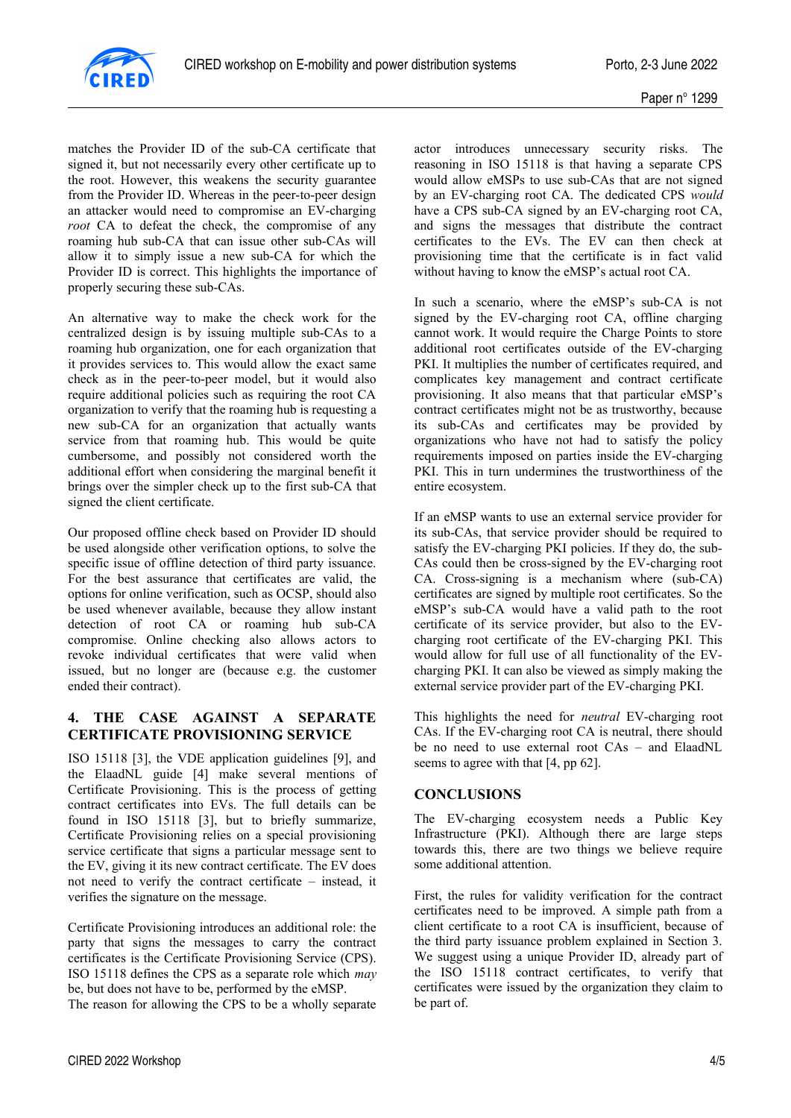

matches the Provider ID of the sub-CA certificate that signed it, but not necessarily every other certificate up to the root. However, this weakens the security guarantee from the Provider ID. Whereas in the peer-to-peer design an attacker would need to compromise an EV-charging *root* CA to defeat the check, the compromise of any roaming hub sub-CA that can issue other sub-CAs will allow it to simply issue a new sub-CA for which the Provider ID is correct. This highlights the importance of properly securing these sub-CAs.

An alternative way to make the check work for the centralized design is by issuing multiple sub-CAs to a roaming hub organization, one for each organization that it provides services to. This would allow the exact same check as in the peer-to-peer model, but it would also require additional policies such as requiring the root CA organization to verify that the roaming hub is requesting a new sub-CA for an organization that actually wants service from that roaming hub. This would be quite cumbersome, and possibly not considered worth the additional effort when considering the marginal benefit it brings over the simpler check up to the first sub-CA that signed the client certificate.

Our proposed offline check based on Provider ID should be used alongside other verification options, to solve the specific issue of offline detection of third party issuance. For the best assurance that certificates are valid, the options for online verification, such as OCSP, should also be used whenever available, because they allow instant detection of root CA or roaming hub sub-CA compromise. Online checking also allows actors to revoke individual certificates that were valid when issued, but no longer are (because e.g. the customer ended their contract).

### **4. THE CASE AGAINST A SEPARATE CERTIFICATE PROVISIONING SERVICE**

ISO 15118 [3], the VDE application guidelines [9], and the ElaadNL guide [4] make several mentions of Certificate Provisioning. This is the process of getting contract certificates into EVs. The full details can be found in ISO 15118 [3], but to briefly summarize, Certificate Provisioning relies on a special provisioning service certificate that signs a particular message sent to the EV, giving it its new contract certificate. The EV does not need to verify the contract certificate – instead, it verifies the signature on the message.

Certificate Provisioning introduces an additional role: the party that signs the messages to carry the contract certificates is the Certificate Provisioning Service (CPS). ISO 15118 defines the CPS as a separate role which *may* be, but does not have to be, performed by the eMSP.

The reason for allowing the CPS to be a wholly separate

actor introduces unnecessary security risks. The reasoning in ISO 15118 is that having a separate CPS would allow eMSPs to use sub-CAs that are not signed by an EV-charging root CA. The dedicated CPS *would* have a CPS sub-CA signed by an EV-charging root CA, and signs the messages that distribute the contract certificates to the EVs. The EV can then check at provisioning time that the certificate is in fact valid without having to know the eMSP's actual root CA.

In such a scenario, where the eMSP's sub-CA is not signed by the EV-charging root CA, offline charging cannot work. It would require the Charge Points to store additional root certificates outside of the EV-charging PKI. It multiplies the number of certificates required, and complicates key management and contract certificate provisioning. It also means that that particular eMSP's contract certificates might not be as trustworthy, because its sub-CAs and certificates may be provided by organizations who have not had to satisfy the policy requirements imposed on parties inside the EV-charging PKI. This in turn undermines the trustworthiness of the entire ecosystem.

If an eMSP wants to use an external service provider for its sub-CAs, that service provider should be required to satisfy the EV-charging PKI policies. If they do, the sub-CAs could then be cross-signed by the EV-charging root CA. Cross-signing is a mechanism where (sub-CA) certificates are signed by multiple root certificates. So the eMSP's sub-CA would have a valid path to the root certificate of its service provider, but also to the EVcharging root certificate of the EV-charging PKI. This would allow for full use of all functionality of the EVcharging PKI. It can also be viewed as simply making the external service provider part of the EV-charging PKI.

This highlights the need for *neutral* EV-charging root CAs. If the EV-charging root CA is neutral, there should be no need to use external root CAs – and ElaadNL seems to agree with that [4, pp 62].

### **CONCLUSIONS**

The EV-charging ecosystem needs a Public Key Infrastructure (PKI). Although there are large steps towards this, there are two things we believe require some additional attention.

First, the rules for validity verification for the contract certificates need to be improved. A simple path from a client certificate to a root CA is insufficient, because of the third party issuance problem explained in Section 3. We suggest using a unique Provider ID, already part of the ISO 15118 contract certificates, to verify that certificates were issued by the organization they claim to be part of.